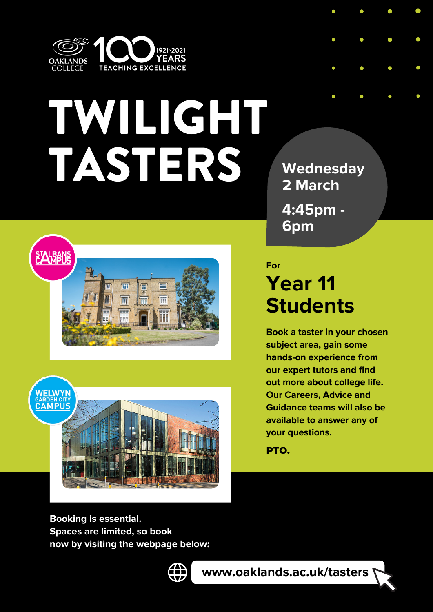

## TWILIGHT TASTERS





**Wednesday 2 March 4:45pm -**

**6pm**

## **Year 11 Students For**

**Book a taster in your chosen subject area, gain some hands-on experience from our expert tutors and find out more about college life. Our Careers, Advice and Guidance teams will also be available to answer any of your questions.**

**PTO.**

**Booking is essential. Spaces are limited, so book now by visiting the webpage below:**



**www.oaklands.ac.uk/tasters**